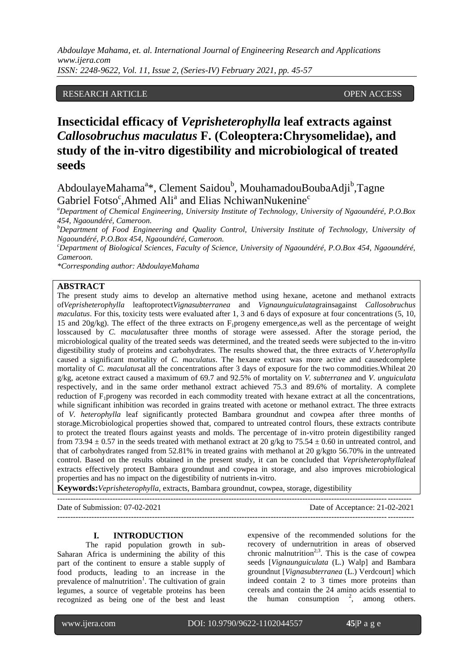# RESEARCH ARTICLE **CONSERVERS** OPEN ACCESS

# **Insecticidal efficacy of** *Veprisheterophylla* **leaf extracts against**  *Callosobruchus maculatus* **F. (Coleoptera:Chrysomelidae), and study of the in-vitro digestibility and microbiological of treated seeds**

AbdoulayeMahama<sup>a\*</sup>, Clement Saidou<sup>b</sup>, MouhamadouBoubaAdji<sup>b</sup>,Tagne Gabriel Fotso<sup>c</sup>, Ahmed Ali<sup>a</sup> and Elias NchiwanNukenine<sup>c</sup>

*<sup>a</sup>Department of Chemical Engineering, University Institute of Technology, University of Ngaoundéré, P.O.Box 454, Ngaoundéré, Cameroon.* 

*<sup>b</sup>Department of Food Engineering and Quality Control, University Institute of Technology, University of Ngaoundéré, P.O.Box 454, Ngaoundéré, Cameroon.* 

*<sup>c</sup>Department of Biological Sciences, Faculty of Science, University of Ngaoundéré, P.O.Box 454, Ngaoundéré, Cameroon.* 

*\*Corresponding author: AbdoulayeMahama*

# **ABSTRACT**

The present study aims to develop an alternative method using hexane, acetone and methanol extracts of*Veprisheterophylla* leaftoprotect*Vignasubterranea* and *Vignaunguiculata*grainsagainst *Callosobruchus maculatus*. For this, toxicity tests were evaluated after 1, 3 and 6 days of exposure at four concentrations (5, 10, 15 and 20g/kg). The effect of the three extracts on  $F_1$ progeny emergence, as well as the percentage of weight losscaused by *C. maculatus*after three months of storage were assessed. After the storage period, the microbiological quality of the treated seeds was determined, and the treated seeds were subjected to the in-vitro digestibility study of proteins and carbohydrates. The results showed that, the three extracts of *V.heterophylla* caused a significant mortality of *C. maculatus*. The hexane extract was more active and causedcomplete mortality of *C. maculatus*at all the concentrations after 3 days of exposure for the two commodities.Whileat 20 g/kg, acetone extract caused a maximum of 69.7 and 92.5% of mortality on *V. subterranea* and *V. unguiculata* respectively, and in the same order methanol extract achieved 75.3 and 89.6% of mortality. A complete reduction of F<sub>1</sub>progeny was recorded in each commodity treated with hexane extract at all the concentrations, while significant inhibition was recorded in grains treated with acetone or methanol extract. The three extracts of *V. heterophylla* leaf significantly protected Bambara groundnut and cowpea after three months of storage.Microbiological properties showed that, compared to untreated control flours, these extracts contribute to protect the treated flours against yeasts and molds. The percentage of in-vitro protein digestibility ranged from 73.94  $\pm$  0.57 in the seeds treated with methanol extract at 20 g/kg to 75.54  $\pm$  0.60 in untreated control, and that of carbohydrates ranged from 52.81% in treated grains with methanol at 20 g/kgto 56.70% in the untreated control. Based on the results obtained in the present study, it can be concluded that *Veprisheterophylla*leaf extracts effectively protect Bambara groundnut and cowpea in storage, and also improves microbiological properties and has no impact on the digestibility of nutrients in-vitro.

---------------------------------------------------------------------------------------------------------------------------------------

**Keywords:***Veprisheterophylla*, extracts, Bambara groundnut, cowpea, storage, digestibility

--------------------------------------------------------------------------------------------------------------------------------------

Date of Submission: 07-02-2021 Date of Acceptance: 21-02-2021

# **I. INTRODUCTION**

The rapid population growth in sub-Saharan Africa is undermining the ability of this part of the continent to ensure a stable supply of food products, leading to an increase in the prevalence of malnutrition<sup>1</sup>. The cultivation of grain legumes, a source of vegetable proteins has been recognized as being one of the best and least

expensive of the recommended solutions for the recovery of undernutrition in areas of observed chronic malnutrition<sup>2;3</sup>. This is the case of cowpea seeds [*Vignaunguiculata* (L.) Walp] and Bambara groundnut [*Vignasubterranea* (L.) Verdcourt] which indeed contain 2 to 3 times more proteins than cereals and contain the 24 amino acids essential to the human consumption  $\lambda$ , among others.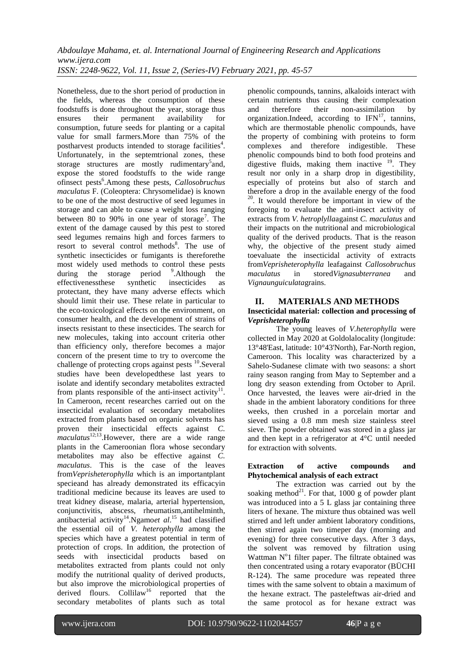Nonetheless, due to the short period of production in the fields, whereas the consumption of these foodstuffs is done throughout the year, storage thus ensures their permanent availability for consumption, future seeds for planting or a capital value for small farmers.More than 75% of the postharvest products intended to storage facilities<sup>4</sup>. Unfortunately, in the septemtrional zones, these storage structures are mostly rudimentary<sup>5</sup> and, expose the stored foodstuffs to the wide range ofinsect pests<sup>6</sup>.Among these pests, *Callosobruchus maculatus* F. (Coleoptera: Chrysomelidae) is known to be one of the most destructive of seed legumes in storage and can able to cause a weight loss ranging between 80 to 90% in one year of storage<sup>7</sup>. The extent of the damage caused by this pest to stored seed legumes remains high and forces farmers to resort to several control methods<sup>8</sup>. The use of synthetic insecticides or fumigants is thereforethe most widely used methods to control these pests during the storage period <sup>9</sup>. Although the effectivenessthese synthetic insecticides as protectant, they have many adverse effects which should limit their use. These relate in particular to the eco-toxicological effects on the environment, on consumer health, and the development of strains of insects resistant to these insecticides. The search for new molecules, taking into account criteria other than efficiency only, therefore becomes a major concern of the present time to try to overcome the challenge of protecting crops against pests  $^{10}$ . Several studies have been developedthese last years to isolate and identify secondary metabolites extracted from plants responsible of the anti-insect activity $11$ . In Cameroon, recent researches carried out on the insecticidal evaluation of secondary metabolites extracted from plants based on organic solvents has proven their insecticidal effects against *C. maculatus*12;13.However, there are a wide range plants in the Cameroonian flora whose secondary metabolites may also be effective against *C. maculatus*. This is the case of the leaves from*Veprisheterophylla* which is an importantplant specieand has already demonstrated its efficacyin traditional medicine because its leaves are used to treat kidney disease, malaria, arterial hypertension, conjunctivitis, abscess, rheumatism,antihelminth, antibacterial activity<sup>14</sup>. Ngamoet al.<sup>15</sup> had classified the essential oil of *V. heterophylla* among the species which have a greatest potential in term of protection of crops. In addition, the protection of seeds with insecticidal products based on metabolites extracted from plants could not only modify the nutritional quality of derived products, but also improve the microbiological properties of derived flours. Collilaw<sup>16</sup> reported that the secondary metabolites of plants such as total

phenolic compounds, tannins, alkaloids interact with certain nutrients thus causing their complexation and therefore their non-assimilation by organization.Indeed, according to  $IFN<sup>17</sup>$ , tannins, which are thermostable phenolic compounds, have the property of combining with proteins to form complexes and therefore indigestible. These phenolic compounds bind to both food proteins and digestive fluids, making them inactive <sup>19</sup>. They result nor only in a sharp drop in digestibility, especially of proteins but also of starch and therefore a drop in the available energy of the food <sup>20</sup>. It would therefore be important in view of the foregoing to evaluate the anti-insect activity of extracts from *V. hetroplylla*against *C. maculatus* and their impacts on the nutritional and microbiological quality of the derived products. That is the reason why, the objective of the present study aimed toevaluate the insecticidal activity of extracts from*Veprisheterophylla* leafagainst *Callosobruchus maculatus* in stored*Vignasubterranea* and *Vignaunguiculata*grains.

## **II. MATERIALS AND METHODS Insecticidal material: collection and processing of**  *Veprisheterophylla*

The young leaves of *V.heterophylla* were collected in May 2020 at Goldolalocality (longitude: 13°48'East, latitude: 10°43'North), Far-North region, Cameroon. This locality was characterized by a Sahelo-Sudanese climate with two seasons: a short rainy season ranging from May to September and a long dry season extending from October to April. Once harvested, the leaves were air-dried in the shade in the ambient laboratory conditions for three weeks, then crushed in a porcelain mortar and sieved using a 0.8 mm mesh size stainless steel sieve. The powder obtained was stored in a glass jar and then kept in a refrigerator at 4°C until needed for extraction with solvents.

## **Extraction of active compounds and Phytochemical analysis of each extract**

The extraction was carried out by the soaking method $^{21}$ . For that, 1000 g of powder plant was introduced into a 5 L glass jar containing three liters of hexane. The mixture thus obtained was well stirred and left under ambient laboratory conditions, then stirred again two timeper day (morning and evening) for three consecutive days. After 3 days, the solvent was removed by filtration using Wattman  $N<sup>o</sup>1$  filter paper. The filtrate obtained was then concentrated using a rotary evaporator (BÜCHI R-124). The same procedure was repeated three times with the same solvent to obtain a maximum of the hexane extract. The pasteleftwas air-dried and the same protocol as for hexane extract was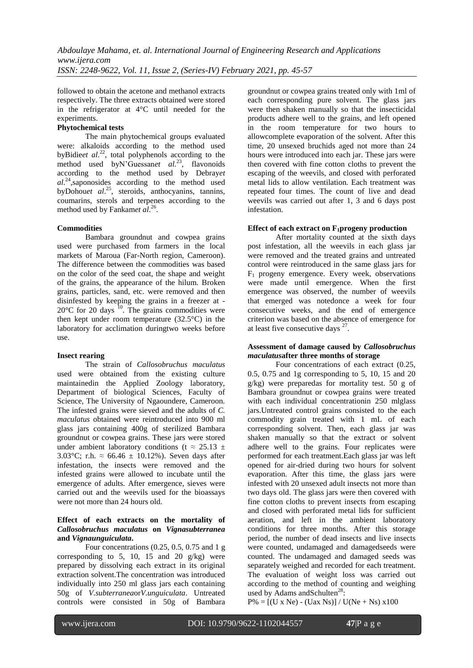followed to obtain the acetone and methanol extracts respectively. The three extracts obtained were stored in the refrigerator at 4°C until needed for the experiments.

# **Phytochemical tests**

The main phytochemical groups evaluated were: alkaloids according to the method used byBidieet al.<sup>22</sup>, total polyphenols according to the method used by N'Guessanet al.<sup>23</sup>, flavonoids according to the method used by Debray*et al*. 24 ,saponosides according to the method used byDohou*et al*. 25 , steroids, anthocyanins, tannins, coumarins, sterols and terpenes according to the method used by Fankam*et al*. 26 .

# **Commodities**

Bambara groundnut and cowpea grains used were purchased from farmers in the local markets of Maroua (Far-North region, Cameroon). The difference between the commodities was based on the color of the seed coat, the shape and weight of the grains, the appearance of the hilum. Broken grains, particles, sand, etc. were removed and then disinfested by keeping the grains in a freezer at -  $20^{\circ}$ C for 20 days <sup>10</sup>. The grains commodities were then kept under room temperature (32.5°C) in the laboratory for acclimation duringtwo weeks before use.

# **Insect rearing**

The strain of *Callosobruchus maculatus* used were obtained from the existing culture maintainedin the Applied Zoology laboratory, Department of biological Sciences, Faculty of Science, The University of Ngaoundere, Cameroon. The infested grains were sieved and the adults of *C. maculatus* obtained were reintroduced into 900 ml glass jars containing 400g of sterilized Bambara groundnut or cowpea grains. These jars were stored under ambient laboratory conditions (t  $\approx$  25.13  $\pm$ 3.03 °C; r.h. ≈ 66.46 ± 10.12%). Seven days after infestation, the insects were removed and the infested grains were allowed to incubate until the emergence of adults. After emergence, sieves were carried out and the weevils used for the bioassays were not more than 24 hours old.

## **Effect of each extracts on the mortality of**  *Callosobruchus maculatus* **on** *Vignasubterranea* **and** *Vignaunguiculata***.**

Four concentrations (0.25, 0.5, 0.75 and 1 g corresponding to 5, 10, 15 and 20  $g/kg$  were prepared by dissolving each extract in its original extraction solvent.The concentration was introduced individually into 250 ml glass jars each containing 50g of *V.subterranea*or*V.unguiculata*. Untreated controls were consisted in 50g of Bambara groundnut or cowpea grains treated only with 1ml of each corresponding pure solvent. The glass jars were then shaken manually so that the insecticidal products adhere well to the grains, and left opened in the room temperature for two hours to allowcomplete evaporation of the solvent. After this time, 20 unsexed bruchids aged not more than 24 hours were introduced into each jar. These jars were then covered with fine cotton cloths to prevent the escaping of the weevils, and closed with perforated metal lids to allow ventilation. Each treatment was repeated four times. The count of live and dead weevils was carried out after 1, 3 and 6 days post infestation.

# **Effect of each extract on F1progeny production**

After mortality counted at the sixth days post infestation, all the weevils in each glass jar were removed and the treated grains and untreated control were reintroduced in the same glass jars for  $F_1$  progeny emergence. Every week, observations were made until emergence. When the first emergence was observed, the number of weevils that emerged was notedonce a week for four consecutive weeks, and the end of emergence criterion was based on the absence of emergence for at least five consecutive days  $27$ .

# **Assessment of damage caused by** *Callosobruchus maculatus***after three months of storage**

Four concentrations of each extract (0.25, 0.5, 0.75 and 1g corresponding to 5, 10, 15 and 20 g/kg) were preparedas for mortality test. 50 g of Bambara groundnut or cowpea grains were treated with each individual concentrationin 250 mlglass jars.Untreated control grains consisted to the each commodity grain treated with 1 mL of each corresponding solvent. Then, each glass jar was shaken manually so that the extract or solvent adhere well to the grains. Four replicates were performed for each treatment.Each glass jar was left opened for air-dried during two hours for solvent evaporation. After this time, the glass jars were infested with 20 unsexed adult insects not more than two days old. The glass jars were then covered with fine cotton cloths to prevent insects from escaping and closed with perforated metal lids for sufficient aeration, and left in the ambient laboratory conditions for three months. After this storage period, the number of dead insects and live insects were counted, undamaged and damagedseeds were counted. The undamaged and damaged seeds was separately weighed and recorded for each treatment. The evaluation of weight loss was carried out according to the method of counting and weighing used by Adams and Schulten<sup>28</sup>:

 $P\% = [(U \times Ne) - (Uax Ns)] / U(Ne + Ns) \times 100]$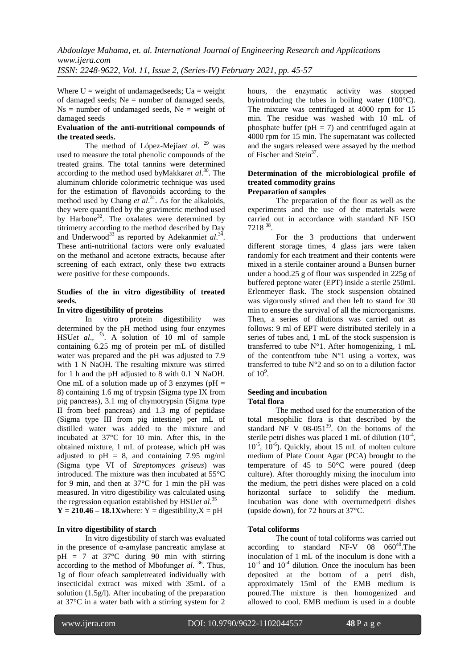Where  $U =$  weight of undamagedseeds;  $Ua =$  weight of damaged seeds; Ne = number of damaged seeds,  $Ns =$  number of undamaged seeds,  $Ne =$  weight of damaged seeds

#### **Evaluation of the anti-nutritional compounds of the treated seeds.**

The method of López-Mejía*et al*. <sup>29</sup> was used to measure the total phenolic compounds of the treated grains. The total tannins were determined according to the method used byMakkar*et al*. <sup>30</sup>. The aluminum chloride colorimetric technique was used for the estimation of flavonoids according to the method used by Chang *et al*. <sup>31</sup>. As for the alkaloids, they were quantified by the gravimetric method used by Harbone<sup>32</sup>. The oxalates were determined by titrimetry according to the method described by Day and Underwood<sup>33</sup> as reported by Adekanmiet  $al^{34}$ . These anti-nutritional factors were only evaluated on the methanol and acetone extracts, because after screening of each extract, only these two extracts were positive for these compounds.

# **Studies of the in vitro digestibility of treated seeds.**

## **In vitro digestibility of proteins**

In vitro protein digestibility was determined by the pH method using four enzymes HSU*et al*., <sup>35</sup>. A solution of 10 ml of sample containing 6.25 mg of protein per mL of distilled water was prepared and the pH was adjusted to 7.9 with 1 N NaOH. The resulting mixture was stirred for 1 h and the pH adjusted to 8 with 0.1 N NaOH. One mL of a solution made up of 3 enzymes ( $pH =$ 8) containing 1.6 mg of trypsin (Sigma type IX from pig pancreas), 3.1 mg of chymotrypsin (Sigma type II from beef pancreas) and 1.3 mg of peptidase (Sigma type III from pig intestine) per mL of distilled water was added to the mixture and incubated at 37°C for 10 min. After this, in the obtained mixture, 1 mL of protease, which pH was adjusted to  $pH = 8$ , and containing 7.95 mg/ml (Sigma type VI of *Streptomyces griseus*) was introduced. The mixture was then incubated at 55°C for 9 min, and then at 37°C for 1 min the pH was measured. In vitro digestibility was calculated using the regression equation established by HSU*et al*. 35  $Y = 210.46 - 18.1X$  where:  $Y =$  digestibility,  $X = pH$ 

# **In vitro digestibility of starch**

In vitro digestibility of starch was evaluated in the presence of α-amylase pancreatic amylase at  $pH = 7$  at 37°C during 90 min with stirring according to the method of Mbofung*et al*. <sup>36</sup>. Thus, 1g of flour ofeach sampletreated individually with insecticidal extract was mixed with 35mL of a solution (1.5g/l). After incubating of the preparation at 37°C in a water bath with a stirring system for 2

hours, the enzymatic activity was stopped byintroducing the tubes in boiling water (100°C). The mixture was centrifuged at 4000 rpm for 15 min. The residue was washed with 10 mL of phosphate buffer ( $pH = 7$ ) and centrifuged again at 4000 rpm for 15 min. The supernatant was collected and the sugars released were assayed by the method of Fischer and Stein<sup>37</sup>.

#### **Determination of the microbiological profile of treated commodity grains Preparation of samples**

The preparation of the flour as well as the experiments and the use of the materials were carried out in accordance with standard NF ISO  $7218<sup>3</sup>$ .

For the 3 productions that underwent different storage times, 4 glass jars were taken randomly for each treatment and their contents were mixed in a sterile container around a Bunsen burner under a hood.25 g of flour was suspended in 225g of buffered peptone water (EPT) inside a sterile 250mL Erlenmeyer flask. The stock suspension obtained was vigorously stirred and then left to stand for 30 min to ensure the survival of all the microorganisms. Then, a series of dilutions was carried out as follows: 9 ml of EPT were distributed sterilely in a series of tubes and, 1 mL of the stock suspension is transferred to tube  $N^{\circ}1$ . After homogenizing, 1 mL of the contentfrom tube  $N^{\circ}1$  using a vortex, was transferred to tube N°2 and so on to a dilution factor of  $10^9$ .

#### **Seeding and incubation Total flora**

The method used for the enumeration of the total mesophilic flora is that described by the standard NF V 08-051<sup>39</sup>. On the bottoms of the sterile petri dishes was placed 1 mL of dilution  $(10^{-4},$  $10^{-5}$ ,  $10^{-6}$ ). Quickly, about 15 mL of molten culture medium of Plate Count Agar (PCA) brought to the temperature of 45 to  $50^{\circ}$ C were poured (deep culture). After thoroughly mixing the inoculum into the medium, the petri dishes were placed on a cold horizontal surface to solidify the medium. Incubation was done with overturnedpetri dishes (upside down), for 72 hours at 37°C.

# **Total coliforms**

The count of total coliforms was carried out according to standard NF-V  $08 \quad 060^{40}$ . The inoculation of 1 mL of the inoculum is done with a  $10^{-3}$  and  $10^{-4}$  dilution. Once the inoculum has been deposited at the bottom of a petri dish, approximately 15ml of the EMB medium is poured.The mixture is then homogenized and allowed to cool. EMB medium is used in a double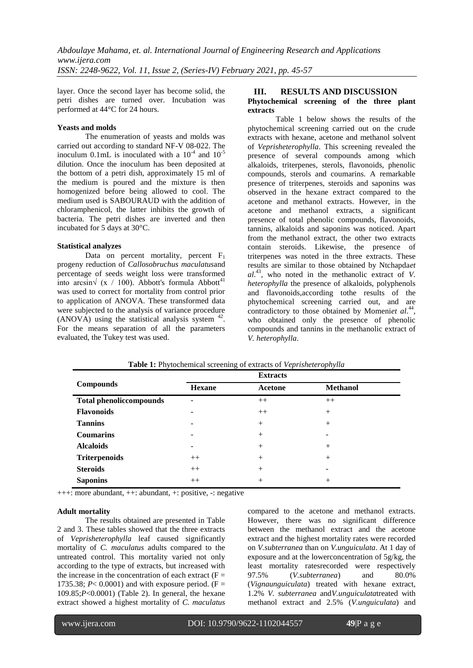layer. Once the second layer has become solid, the petri dishes are turned over. Incubation was performed at 44°C for 24 hours.

#### **Yeasts and molds**

The enumeration of yeasts and molds was carried out according to standard NF-V 08-022. The inoculum 0.1mL is inoculated with a  $10^{-4}$  and  $10^{-5}$ dilution. Once the inoculum has been deposited at the bottom of a petri dish, approximately 15 ml of the medium is poured and the mixture is then homogenized before being allowed to cool. The medium used is SABOURAUD with the addition of chloramphenicol, the latter inhibits the growth of bacteria. The petri dishes are inverted and then incubated for 5 days at 30°C.

#### **Statistical analyzes**

Data on percent mortality, percent  $F_1$ progeny reduction of *Callosobruchus maculatus*and percentage of seeds weight loss were transformed into arcsin $\sqrt{(x/100)}$ . Abbott's formula Abbott<sup>41</sup> was used to correct for mortality from control prior to application of ANOVA. These transformed data were subjected to the analysis of variance procedure  $(ANOVA)$  using the statistical analysis system  $42$ . For the means separation of all the parameters evaluated, the Tukey test was used.

# **III. RESULTS AND DISCUSSION Phytochemical screening of the three plant extracts**

Table 1 below shows the results of the phytochemical screening carried out on the crude extracts with hexane, acetone and methanol solvent of *Veprisheterophylla*. This screening revealed the presence of several compounds among which alkaloids, triterpenes, sterols, flavonoids, phenolic compounds, sterols and coumarins. A remarkable presence of triterpenes, steroids and saponins was observed in the hexane extract compared to the acetone and methanol extracts. However, in the acetone and methanol extracts, a significant presence of total phenolic compounds, flavonoids, tannins, alkaloids and saponins was noticed. Apart from the methanol extract, the other two extracts contain steroids. Likewise, the presence of triterpenes was noted in the three extracts. These results are similar to those obtained by Ntchapda*et al*. <sup>43</sup>, who noted in the methanolic extract of *V. heterophylla* the presence of alkaloids, polyphenols and flavonoids,according tothe results of the phytochemical screening carried out, and are contradictory to those obtained by Momeniet al.<sup>44</sup>, who obtained only the presence of phenolic compounds and tannins in the methanolic extract of *V. heterophylla*.

|                                |               | <b>Extracts</b> |                 |  |
|--------------------------------|---------------|-----------------|-----------------|--|
| <b>Compounds</b>               | <b>Hexane</b> | Acetone         | <b>Methanol</b> |  |
| <b>Total phenoliccompounds</b> |               | $++$            | $++$            |  |
| <b>Flavonoids</b>              |               | $++$            | $^{+}$          |  |
| <b>Tannins</b>                 |               | $^{+}$          | $+$             |  |
| <b>Coumarins</b>               |               | $^{+}$          |                 |  |
| <b>Alcaloids</b>               |               | $+$             | $^{+}$          |  |
| <b>Triterpenoids</b>           | $++$          | $+$             | $^{+}$          |  |
| <b>Steroids</b>                | $++$          | $+$             |                 |  |
| <b>Saponins</b>                | $++$          | $^{+}$          | $^{+}$          |  |

**Table 1:** Phytochemical screening of extracts of *Veprisheterophylla*

+++: more abundant, ++: abundant, +: positive, -: negative

#### **Adult mortality**

The results obtained are presented in Table 2 and 3. These tables showed that the three extracts of *Veprisheterophylla* leaf caused significantly mortality of *C. maculatus* adults compared to the untreated control. This mortality varied not only according to the type of extracts, but increased with the increase in the concentration of each extract  $(F =$ 1735.38;  $P < 0.0001$ ) and with exposure period. (F = 109.85;*P*<0.0001) (Table 2). In general, the hexane extract showed a highest mortality of *C. maculatus* compared to the acetone and methanol extracts. However, there was no significant difference between the methanol extract and the acetone extract and the highest mortality rates were recorded on *V.subterranea* than on *V.unguiculata*. At 1 day of exposure and at the lowerconcentration of 5g/kg, the least mortality ratesrecorded were respectively 97.5% (*V.subterranea*) and 80.0% (*Vignaunguiculata*) treated with hexane extract, 1.2% *V. subterranea* and*V.unguiculata*treated with methanol extract and 2.5% (*V.unguiculata*) and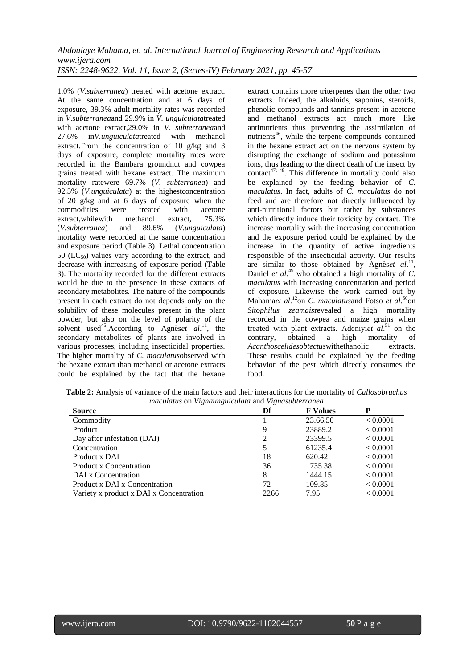1.0% (*V.subterranea*) treated with acetone extract. At the same concentration and at 6 days of exposure, 39.3% adult mortality rates was recorded in *V.subterranea*and 29.9% in *V. unguiculata*treated with acetone extract,29.0% in *V. subterranea*and 27.6% in*V.unguiculata*treated with methanol extract.From the concentration of 10 g/kg and 3 days of exposure, complete mortality rates were recorded in the Bambara groundnut and cowpea grains treated with hexane extract. The maximum mortality ratewere 69.7% (*V. subterranea*) and 92.5% (*V.unguiculata*) at the highestconcentration of 20 g/kg and at 6 days of exposure when the commodities were treated with acetone extract,whilewith methanol extract, 75.3% (*V.subterranea*) and 89.6% (*V.unguiculata*) mortality were recorded at the same concentration and exposure period (Table 3). Lethal concentration 50 ( $LC_{50}$ ) values vary according to the extract, and decrease with increasing of exposure period (Table 3). The mortality recorded for the different extracts would be due to the presence in these extracts of secondary metabolites. The nature of the compounds present in each extract do not depends only on the solubility of these molecules present in the plant powder, but also on the level of polarity of the solvent used<sup>45</sup>. According to Agnes*et al.*<sup>11</sup>, the secondary metabolites of plants are involved in various processes, including insecticidal properties. The higher mortality of *C. maculatus*observed with the hexane extract than methanol or acetone extracts could be explained by the fact that the hexane

extract contains more triterpenes than the other two extracts. Indeed, the alkaloids, saponins, steroids, phenolic compounds and tannins present in acetone and methanol extracts act much more like antinutrients thus preventing the assimilation of nutrients<sup>46</sup>, while the terpene compounds contained in the hexane extract act on the nervous system by disrupting the exchange of sodium and potassium ions, thus leading to the direct death of the insect by contact<sup>47; 48</sup>. This difference in mortality could also be explained by the feeding behavior of *C. maculatus*. In fact, adults of *C. maculatus* do not feed and are therefore not directly influenced by anti-nutritional factors but rather by substances which directly induce their toxicity by contact. The increase mortality with the increasing concentration and the exposure period could be explained by the increase in the quantity of active ingredients responsible of the insecticidal activity. Our results are similar to those obtained by Agnèset al.<sup>11</sup>, Daniel *et al.*<sup>49</sup> who obtained a high mortality of *C*. *maculatus* with increasing concentration and period of exposure. Likewise the work carried out by Mahamaet al.<sup>12</sup>on *C. maculatus*and Fotso et al.<sup>50</sup>on *Sitophilus zeamais*revealed a high mortality recorded in the cowpea and maize grains when treated with plant extracts. Adeniyi*et al*. <sup>51</sup> on the contrary, obtained a high mortality of *Acanthoscelidesobtectus*withethanolic extracts. These results could be explained by the feeding behavior of the pest which directly consumes the food.

| $\cdot$ $\circ$<br>$\cdots$<br><b>Source</b> | Df   | <b>F</b> Values | P        |
|----------------------------------------------|------|-----------------|----------|
| Commodity                                    |      | 23.66.50        | < 0.0001 |
| Product                                      | 9    | 23889.2         | < 0.0001 |
| Day after infestation (DAI)                  | 2    | 23399.5         | < 0.0001 |
| Concentration                                | 5    | 61235.4         | < 0.0001 |
| Product x DAI                                | 18   | 620.42          | < 0.0001 |
| Product x Concentration                      | 36   | 1735.38         | < 0.0001 |
| DAI x Concentration                          | 8    | 1444.15         | < 0.0001 |
| Product x DAI x Concentration                | 72   | 109.85          | < 0.0001 |
| Variety x product x DAI x Concentration      | 2266 | 7.95            | < 0.0001 |

**Table 2:** Analysis of variance of the main factors and their interactions for the mortality of *Callosobruchus maculatus* on *Vignaunguiculata* and *Vignasubterranea*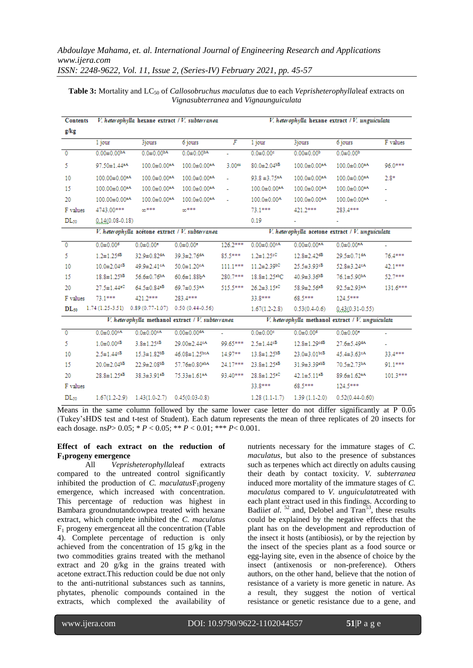| Contents                                         | V. heterophylla hexane extract / V. subterranea |                                  |                                                   | V. heterophylla hexane extract / V. unguiculata |                                 |                                                  |                                                   |           |
|--------------------------------------------------|-------------------------------------------------|----------------------------------|---------------------------------------------------|-------------------------------------------------|---------------------------------|--------------------------------------------------|---------------------------------------------------|-----------|
| g/kg                                             |                                                 |                                  |                                                   |                                                 |                                 |                                                  |                                                   |           |
|                                                  | 1 jour                                          | 3jours                           | 6 jours                                           | F                                               | 1 jour                          | 3jours                                           | 6 jours                                           | F values  |
| $\overline{0}$                                   | $0.00 \pm 0.00^{bA}$                            | $0.0 + 0.00^{hA}$                | $0.0 + 0.006A$                                    | ÷.                                              | $0.0 + 0.00$ °                  | $0.00 + 0.00$ <sup>b</sup>                       | $0.0 + 0.00$ <sup>b</sup>                         |           |
| 5                                                | 97.50±1.44 <sup>aA</sup>                        | $100.0 \pm 0.00$ <sup>aA</sup>   | $100.0 + 0.00$ <sup>aA</sup>                      | 3.00 <sup>th</sup>                              | $80.0 \pm 2.04bB$               | $100.0 \pm 0.00$ <sup>aA</sup>                   | $100.0 \pm 0.00$ <sup>aA</sup>                    | $96.0***$ |
| 10                                               | 100.00±0.00*A                                   | 100.0±0.00*A                     | 100.0±0.00*A                                      |                                                 | $93.8 \pm 3.75$ <sup>aA</sup>   | $100.0 + 0.00$ <sup>aA</sup>                     | $100.0 + 0.00$ <sup>aA</sup>                      | $2.8*$    |
| 15                                               | $100.00 + 0.00$ <sup>aA</sup>                   | $100.0 + 0.00$ <sup>aA</sup>     | $100.0 + 0.00$ <sup>aA</sup>                      |                                                 | $100.0 \pm 0.00$ <sup>aA</sup>  | $100.0 + 0.00$ <sup>aA</sup>                     | $100.0 + 0.00$ <sup>aA</sup>                      |           |
| 20                                               | 100.00±0.00 <sup>aA</sup>                       | $100.0 \pm 0.00$ aA              | $100.0 \pm 0.00$ <sup>aA</sup>                    |                                                 | $100.0 + 0.00A$                 | $100.0 \pm 0.00$ <sup>aA</sup>                   | $100.0 \pm 0.00$ <sup>aA</sup>                    |           |
| F values                                         | 4743.00***                                      | $\infty$ ***                     | $\infty$ <sup>888</sup>                           |                                                 | 73.1***                         | 421.2***                                         | 283.4***                                          |           |
| $DL_{50}$                                        | $0.14(0.08 - 0.18)$                             |                                  |                                                   |                                                 | 0.19                            |                                                  |                                                   |           |
| V. heterophylla acétone extract / V. subterranea |                                                 |                                  |                                                   |                                                 |                                 | V. heterophylla acetone extract / V. unguiculata |                                                   |           |
| $\overline{0}$                                   | $0.0 + 0.004$                                   | $0.0 + 0.00$ <sup>e</sup>        | $0.0 + 0.00$ <sup>e</sup>                         | 126.2***                                        | $0.00 \pm 0.00$ cA              | $0.00 \pm 0.00$ <sup>eA</sup>                    | $0.0 + 0.00$ <sup>eA</sup>                        |           |
| 5.                                               | $1.2 \pm 1.25$ <sup>4B</sup>                    | 32.9±0.82 <sup>dA</sup>          | $39.3 \pm 2.76$ <sup>4A</sup>                     | $85.5***$                                       | $1.2 \pm 1.25$ cC               | $12.8 \pm 2.42$ <sup>dB</sup>                    | $29.5 \pm 0.71$ <sup>dA</sup>                     | 76.4***   |
| 10                                               | $10.0 \pm 2.04$ <sup>cB</sup>                   | $49.9 \pm 2.41$ cA               | $50.0 + 1.20$ cA                                  | $111.1***$                                      | $11.2 \pm 2.39$ <sup>6C</sup>   | $25.5 \pm 3.93$ cB                               | $52.8 \pm 3.24$ cA                                | 42.1***   |
| 15                                               | $18.8 \pm 1.25$ bB                              | $56.6 \pm 0.76$ <sup>tA</sup>    | $60.6 \pm 1.88$ b <sup>A</sup>                    | 280.7***                                        | $18.8 \pm 1.25$ <sup>ab</sup> C | $40.9 \pm 3.36$ <sup>bB</sup>                    | $76.1 \pm 5.90$ <sup>M</sup>                      | 52.7***   |
| 20                                               | $27.5 \pm 1.44$ <sup>aC</sup>                   | $64.5 \pm 0.84$ <sup>aB</sup>    | $69.7 \pm 0.53$ <sup>aA</sup>                     | 515.5***                                        | $26.2 \pm 3.15$ <sup>aC</sup>   | $58.9 \pm 2.56$ <sup>aB</sup>                    | $92.5 \pm 2.93$ <sup>aA</sup>                     | 131.6***  |
| F values                                         | 73.1***                                         | 421.2***                         | 283.4***                                          |                                                 | 33.8***                         | $68.5***$                                        | $124.5***$                                        |           |
| $\mathbf{DL}_{50}$                               | $1.74(1.25-3.51)$                               | $0.89(0.77-1.07)$                | $0.50(0.44-0.56)$                                 |                                                 | $1.67(1.2-2.8)$                 | $0.53(0.4-0.6)$                                  | $0.43(0.31 - 0.55)$                               |           |
|                                                  |                                                 |                                  | V. heterophylla methanol extract / V. subterranea |                                                 |                                 |                                                  | V. heterophylla methanol extract / V. unguiculata |           |
| $\mathbf{0}$                                     | $0.0 + 0.00$ cA                                 | $0.0 + 0.00$ cA                  | $0.00 + 0.00$ <sup>4A</sup>                       |                                                 | $0.0 + 0.00$ °                  | $0.0 + 0.004$                                    | $0.0 + 0.00$ <sup>*</sup>                         |           |
| 5.                                               | $1.0 \pm 0.00$ <sup>cB</sup>                    | $3.8 + 1.25$ <sup>cB</sup>       | $29.00 \pm 2.44$ cA                               | 99.65***                                        | $2.5 \pm 1.44$ cB               | $12.8 + 1.29$ cdB                                | $27.6 \pm 5.49$ <sup>4A</sup>                     |           |
| 10                                               | $2.5 \pm 1.44$ cB                               | $15.3 \pm 1.82$ <sup>bB</sup>    | $46.08 \pm 1.25$ bcA                              | $14.97**$                                       | $13.8 \pm 1.25^{bB}$            | $23.0 + 3.01$ <sub>bcB</sub>                     | $45.4 \pm 3.63$ cA                                | 33.4***   |
| 15                                               | $20.0 \pm 2.04$ bB                              | $22.9 \pm 2.08$ bB               | 57.76±0.80abA                                     | 24.17***                                        | $23.8 \pm 1.25$ <sup>aB</sup>   | $31.9 + 3.39$ <sup>abB</sup>                     | 70.5±2.73M                                        | 91.1***   |
| 20                                               | $28.8 \pm 1.25$ <sup>aB</sup>                   | $38.3 \pm 3.91$ <sup>aB</sup>    | $75.33 \pm 1.61$ <sup>aA</sup>                    | 93.40***                                        | $28.8 \pm 1.25$ <sup>aC</sup>   | $42.1 \pm 5.11$ <sup>aB</sup>                    | $89.6 \pm 1.62$ <sup>aA</sup>                     | 101.3***  |
| F values                                         |                                                 |                                  |                                                   |                                                 | 33.8***                         | 68.5***                                          | $124.5***$                                        |           |
| $DL_{50}$                                        | $1.67(1.2-2.9)$                                 | $1.43(1.0-2.7)$ $0.45(0.03-0.8)$ |                                                   |                                                 | $1.28(1.1-1.7)$                 | $1.39(1.1-2.0)$                                  | $0.52(0.44-0.60)$                                 |           |

| <b>Table 3:</b> Mortality and LC <sub>50</sub> of <i>Callosobruchus maculatus</i> due to each <i>Veprisheterophyllaleaf</i> extracts on |
|-----------------------------------------------------------------------------------------------------------------------------------------|
| Vignasubterranea and Vignaunguiculata                                                                                                   |

Means in the same column followed by the same lower case letter do not differ significantly at P 0.05 (Tukey'sHDS test and t-test of Student). Each datum represents the mean of three replicates of 20 insects for each dosage. ns*P*> 0.05; \* *P* < 0.05; \*\* *P* < 0.01; \*\*\* *P*< 0.001.

## **Effect of each extract on the reduction of F1progeny emergence**

All *Veprisheterophylla*leaf extracts compared to the untreated control significantly inhibited the production of  $C$ . maculatus $F_1$ progeny emergence, which increased with concentration. This percentage of reduction was highest in Bambara groundnutandcowpea treated with hexane extract, which complete inhibited the *C. maculatus*  $F_1$  progeny emergenceat all the concentration (Table 4). Complete percentage of reduction is only achieved from the concentration of 15 g/kg in the two commodities grains treated with the methanol extract and 20 g/kg in the grains treated with acetone extract.This reduction could be due not only to the anti-nutritional substances such as tannins, phytates, phenolic compounds contained in the extracts, which complexed the availability of nutrients necessary for the immature stages of *C. maculatus*, but also to the presence of substances such as terpenes which act directly on adults causing their death by contact toxicity. *V. subterranea* induced more mortality of the immature stages of *C. maculatus* compared to *V. unguiculata*treated with each plant extract used in this findings. According to Badiiet al.<sup>52</sup> and, Delobel and Tran<sup>53</sup>, these results could be explained by the negative effects that the plant has on the development and reproduction of the insect it hosts (antibiosis), or by the rejection by the insect of the species plant as a food source or egg-laying site, even in the absence of choice by the insect (antixenosis or non-preference). Others authors, on the other hand, believe that the notion of resistance of a variety is more genetic in nature. As a result, they suggest the notion of vertical resistance or genetic resistance due to a gene, and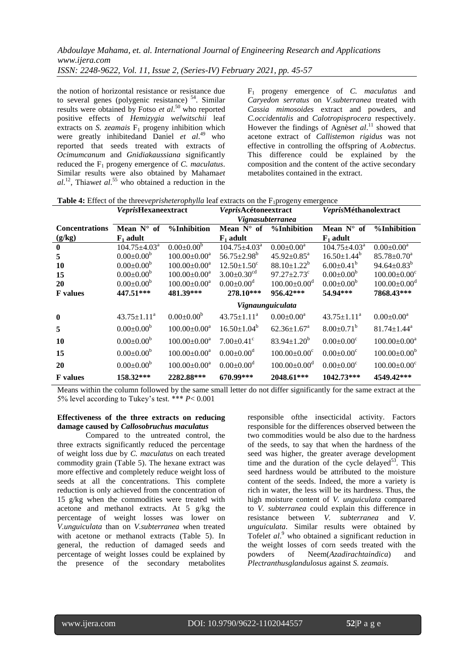the notion of horizontal resistance or resistance due to several genes (polygenic resistance) <sup>54</sup>. Similar results were obtained by Fotso *et al*. <sup>50</sup> who reported positive effects of *Hemizygia welwitschii* leaf extracts on *S. zeamais*  $F_1$  progeny inhibition which were greatly inhibitedand Daniel *et al*. <sup>49</sup> who reported that seeds treated with extracts of *Ocimumcanum* and *Gnidiakaussiana* significantly reduced the F<sup>1</sup> progeny emergence of *C. maculatus*. Similar results were also obtained by Mahama*et al*. <sup>12</sup>, Thiaw*et al*. <sup>55</sup> who obtained a reduction in the

F<sup>1</sup> progeny emergence of *C. maculatus* and *Caryedon serratus* on *V.subterranea* treated with *Cassia mimosoides* extract and powders, and *C.occidentalis* and *Calotropisprocera* respectively. However the findings of Agnèset al.<sup>11</sup> showed that acetone extract of *Callistemon rigidus* was not effective in controlling the offspring of *A.obtectus*. This difference could be explained by the composition and the content of the active secondary metabolites contained in the extract.

| <b>Table 4:</b> Effect of the threeveprisheterophylla leaf extracts on the $F_1$ progeny emergence |  |
|----------------------------------------------------------------------------------------------------|--|
|----------------------------------------------------------------------------------------------------|--|

|                       | <b>VeprisHexaneextract</b> |                     | VeprisAcétoneextract          |                                | <b>VeprisMéthanolextract</b> |                                |
|-----------------------|----------------------------|---------------------|-------------------------------|--------------------------------|------------------------------|--------------------------------|
|                       |                            |                     |                               | Vignasubterranea               |                              |                                |
| <b>Concentrations</b> | Mean $N^{\circ}$ of        | %Inhibition         | Mean $N^{\circ}$ of           | %Inhibition                    | Mean $N^{\circ}$ of          | %Inhibition                    |
| (g/kg)                | $F_1$ adult                |                     | $F_1$ adult                   |                                | $F_1$ adult                  |                                |
| $\mathbf{0}$          | $104.75 \pm 4.03^a$        | $0.00 \pm 0.00^b$   | $104.75 \pm 4.03^a$           | $0.00 \pm 0.00^a$              | $104.75 \pm 4.03^{\text{a}}$ | $0.00 \pm 0.00^a$              |
| 5                     | $0.00 \pm 0.00^b$          | $100.00 \pm 0.00^a$ | $56.75 \pm 2.98^b$            | $45.92 \pm 0.85^a$             | $16.50 \pm 1.44^b$           | $85.78 \pm 0.70^a$             |
| 10                    | $0.00 \pm 0.00^{\circ}$    | $100.00 \pm 0.00^a$ | $12.50 \pm 1.50$ <sup>c</sup> | $88.10 \pm 1.22^b$             | $6.00 \pm 0.41^b$            | $94.64 \pm 0.83^b$             |
| 15                    | $0.00 \pm 0.00^b$          | $100.00 \pm 0.00^a$ | $3.00 \pm 0.30$ <sup>cd</sup> | $97.27 \pm 2.73$ °             | $0.00 \pm 0.00^b$            | $100.00 \pm 0.00^c$            |
| 20                    | $0.00 \pm 0.00^b$          | $100.00 \pm 0.00^a$ | $0.00 \pm 0.00^d$             | $100.00 \pm 0.00$ <sup>d</sup> | $0.00 \pm 0.00^b$            | $100.00 \pm 0.00$ <sup>d</sup> |
| <b>F</b> values       | 447.51***                  | 481.39***           | 278.10***                     | 956.42***                      | 54.94***                     | 7868.43***                     |
|                       |                            |                     | Vignaunguiculata              |                                |                              |                                |
| $\mathbf{0}$          | $43.75 \pm 1.11^a$         | $0.00 \pm 0.00^b$   | $43.75 \pm 1.11^a$            | $0.00 \pm 0.00^a$              | $43.75 \pm 1.11^a$           | $0.00 \pm 0.00^a$              |
| 5                     | $0.00 \pm 0.00^b$          | $100.00 \pm 0.00^a$ | $16.50 \pm 1.04^b$            | $62.36 \pm 1.67$ <sup>a</sup>  | $8.00 \pm 0.71^{\rm b}$      | $81.74 \pm 1.44^a$             |
| 10                    | $0.00 \pm 0.00^b$          | $100.00 \pm 0.00^a$ | $7.00 \pm 0.41$ <sup>c</sup>  | $83.94 \pm 1.20^b$             | $0.00 \pm 0.00$ <sup>c</sup> | $100.00 \pm 0.00^a$            |
| 15                    | $0.00 \pm 0.00^b$          | $100.00 \pm 0.00^a$ | $0.00 \pm 0.00$ <sup>d</sup>  | $100.00 \pm 0.00$ <sup>c</sup> | $0.00 \pm 0.00$ <sup>c</sup> | $100.00 \pm 0.00^b$            |
| 20                    | $0.00 \pm 0.00^b$          | $100.00 \pm 0.00^a$ | $0.00 \pm 0.00$ <sup>d</sup>  | $100.00 \pm 0.00$ <sup>d</sup> | $0.00 \pm 0.00$ <sup>c</sup> | $100.00 \pm 0.00^c$            |
| <b>F</b> values       | 158.32***                  | 2282.88***          | 670.99***                     | 2048.61***                     | 1042.73***                   | 4549.42***                     |

Means within the column followed by the same small letter do not differ significantly for the same extract at the 5% level according to Tukey's test. \*\*\* *P*< 0.001

## **Effectiveness of the three extracts on reducing damage caused by** *Callosobruchus maculatus*

Compared to the untreated control, the three extracts significantly reduced the percentage of weight loss due by *C. maculatus* on each treated commodity grain (Table 5). The hexane extract was more effective and completely reduce weight loss of seeds at all the concentrations. This complete reduction is only achieved from the concentration of 15 g/kg when the commodities were treated with acetone and methanol extracts. At 5 g/kg the percentage of weight losses was lower on *V.unguiculata* than on *V.subterranea* when treated with acetone or methanol extracts (Table 5). In general, the reduction of damaged seeds and percentage of weight losses could be explained by the presence of the secondary metabolites responsible ofthe insecticidal activity. Factors responsible for the differences observed between the two commodities would be also due to the hardness of the seeds, to say that when the hardness of the seed was higher, the greater average development time and the duration of the cycle delayed<sup>53</sup>. This seed hardness would be attributed to the moisture content of the seeds. Indeed, the more a variety is rich in water, the less will be its hardness. Thus, the high moisture content of *V. unguiculata* compared to *V. subterranea* could explain this difference in resistance between *V. subterranea* and *V. unguiculata*. Similar results were obtained by Tofel*et al*. <sup>9</sup> who obtained a significant reduction in the weight losses of corn seeds treated with the powders of Neem(*Azadirachtaindica*) and *Plectranthusglandulosus* against *S. zeamais*.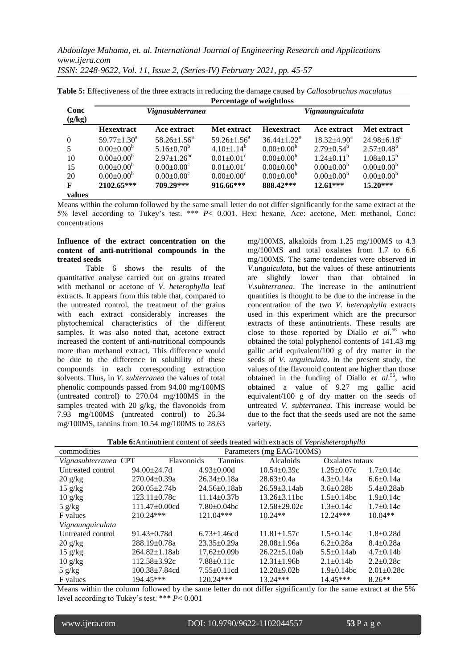|              | <b>Percentage of weightloss</b> |                               |                              |                         |                   |                         |  |
|--------------|---------------------------------|-------------------------------|------------------------------|-------------------------|-------------------|-------------------------|--|
| Conc         | <b>Vignasubterranea</b>         |                               |                              | Vignaunguiculata        |                   |                         |  |
| (g/kg)       | <b>Hexextract</b>               | Ace extract                   | Met extract                  | <b>Hexextract</b>       | Ace extract       | Met extract             |  |
| $\Omega$     | $59.77 \pm 1.30^{\circ}$        | $58.26 \pm 1.56^{\circ}$      | $59.26 \pm 1.56^{\circ}$     | $36.44 \pm 1.22^a$      | $18.32 + 4.90^a$  | $24.98 \pm 6.18^a$      |  |
| 5            | $0.00 \pm 0.00^b$               | $5.16 \pm 0.70^b$             | $4.10\pm1.14^{b}$            | $0.00+0.00^b$           | $2.79 \pm 0.54^b$ | $2.57 \pm 0.48^b$       |  |
| 10           | $0.00 \pm 0.00^b$               | $2.97 \pm 1.26$ <sup>bc</sup> | $0.01 \pm 0.01$ <sup>c</sup> | $0.00+0.00^b$           | $1.24 \pm 0.11^b$ | $1.08 \pm 0.15^{\rm b}$ |  |
| 15           | $0.00 \pm 0.00^b$               | $0.00 \pm 0.00^{\circ}$       | $0.01 \pm 0.01$ <sup>c</sup> | $0.00+0.00^b$           | $0.00 \pm 0.00^b$ | $0.00 \pm 0.00^b$       |  |
| 20           | $0.00 \pm 0.00^b$               | $0.00 \pm 0.00$ <sup>c</sup>  | $0.00 \pm 0.00$ <sup>c</sup> | $0.00 \pm 0.00^{\circ}$ | $0.00 \pm 0.00^b$ | $0.00 \pm 0.00^b$       |  |
| $\mathbf{F}$ | 2102.65***                      | 709.29***                     | 916.66***                    | 888.42***               | $12.61***$        | $15.20***$              |  |
| values       |                                 |                               |                              |                         |                   |                         |  |

|  |  |  |  | Table 5: Effectiveness of the three extracts in reducing the damage caused by <i>Callosobruchus maculatus</i> |
|--|--|--|--|---------------------------------------------------------------------------------------------------------------|
|  |  |  |  |                                                                                                               |

Means within the column followed by the same small letter do not differ significantly for the same extract at the 5% level according to Tukey's test. \*\*\* *P*< 0.001. Hex: hexane, Ace: acetone, Met: methanol, Conc: concentrations

## **Influence of the extract concentration on the content of anti-nutritional compounds in the treated seeds**

Table 6 shows the results of the quantitative analyse carried out on grains treated with methanol or acetone of *V. heterophylla* leaf extracts. It appears from this table that, compared to the untreated control, the treatment of the grains with each extract considerably increases the phytochemical characteristics of the different samples. It was also noted that, acetone extract increased the content of anti-nutritional compounds more than methanol extract. This difference would be due to the difference in solubility of these compounds in each corresponding extraction solvents. Thus, in *V. subterranea* the values of total phenolic compounds passed from 94.00 mg/100MS (untreated control) to 270.04 mg/100MS in the samples treated with 20 g/kg, the flavonoids from 7.93 mg/100MS (untreated control) to 26.34 mg/100MS, tannins from 10.54 mg/100MS to 28.63

mg/100MS, alkaloids from 1.25 mg/100MS to 4.3 mg/100MS and total oxalates from 1.7 to 6.6 mg/100MS. The same tendencies were observed in *V.unguiculata*, but the values of these antinutrients are slightly lower than that obtained in *V.subterranea*. The increase in the antinutrient quantities is thought to be due to the increase in the concentration of the two *V. heterophylla* extracts used in this experiment which are the precursor extracts of these antinutrients. These results are close to those reported by Diallo *et al*. <sup>56</sup> who obtained the total polyphenol contents of 141.43 mg gallic acid equivalent/100 g of dry matter in the seeds of *V. unguiculata*. In the present study, the values of the flavonoid content are higher than those obtained in the funding of Diallo *et al.*<sup>56</sup>, who obtained a value of 9.27 mg gallic acid equivalent/100 g of dry matter on the seeds of untreated *V. subterranea*. This increase would be due to the fact that the seeds used are not the same variety.

**Table 6:**Antinutrient content of seeds treated with extracts of *Veprisheterophylla*

| commodities                     |                             |                     | Parameters (mg EAG/100MS) |                   |                   |
|---------------------------------|-----------------------------|---------------------|---------------------------|-------------------|-------------------|
| Vignasubterranea CPT            | <b>Flavonoids</b>           | <b>Tannins</b>      | <b>Alcaloids</b>          | Oxalates totaux   |                   |
| Untreated control               | $94.00 \pm 24.7$ d          | $4.93 \pm 0.00d$    | $10.54 \pm 0.39c$         | $1.25 \pm 0.07c$  | $1.7+0.14c$       |
| $20 \frac{\text{g}}{\text{kg}}$ | $270.04 \pm 0.39a$          | $26.34 \pm 0.18a$   | $28.63 \pm 0.4a$          | $4.3 \pm 0.14a$   | $6.6 \pm 0.14a$   |
| $15 \text{ g/kg}$               | $260.05 \pm 2.74$           | $24.56 \pm 0.18$ ab | $26.59 \pm 3.14$ ab       | $3.6 \pm 0.28$    | $5.4 \pm 0.28$ ab |
| $10 \frac{\text{g}}{\text{kg}}$ | $123.11 \pm 0.78c$          | $11.14 \pm 0.37$ b  | $13.26 \pm 3.11$ hc       | $1.5 \pm 0.14$ bc | $1.9 \pm 0.14c$   |
| $5 \frac{\text{g}}{\text{kg}}$  | $111.47 \pm 0.00 \text{cd}$ | $7.80 \pm 0.04$ bc  | $12.58 + 29.02c$          | $1.3 \pm 0.14c$   | $1.7+0.14c$       |
| F values                        | $210.24***$                 | $121.04***$         | $10.24**$                 | $12.24***$        | $10.04**$         |
| Vignaunguiculata                |                             |                     |                           |                   |                   |
| Untreated control               | $91.43 \pm 0.78$ d          | $6.73 \pm 1.46$ cd  | $11.81 \pm 1.57c$         | $1.5 \pm 0.14c$   | $1.8 \pm 0.28$ d  |
| $20 \frac{\text{g}}{\text{kg}}$ | $288.19 \pm 0.78a$          | $23.35 \pm 0.29a$   | $28.08 \pm 1.96a$         | $6.2 \pm 0.28a$   | $8.4 \pm 0.28a$   |
| $15 \text{ g/kg}$               | $264.82 \pm 1.18$ ab        | $17.62 \pm 0.09$    | $26.22 \pm 5.10$ ab       | $5.5 \pm 0.14$ ab | $4.7 \pm 0.14$    |
| $10 \frac{\text{g}}{\text{kg}}$ | $112.58 \pm 3.92c$          | $7.88 \pm 0.11c$    | $12.31 \pm 1.96b$         | $2.1 \pm 0.14$    | $2.2 \pm 0.28c$   |
| $5 \frac{\text{g}}{\text{kg}}$  | $100.38 \pm 7.84$ cd        | $7.55 \pm 0.11$ cd  | $12.20 \pm 9.02b$         | $1.9 \pm 0.14$ bc | $2.01 \pm 0.28c$  |
| F values                        | 194.45***                   | 120.24***           | 13.24***                  | $14.45***$        | $8.26**$          |

Means within the column followed by the same letter do not differ significantly for the same extract at the 5% level according to Tukey's test. \*\*\* *P*< 0.001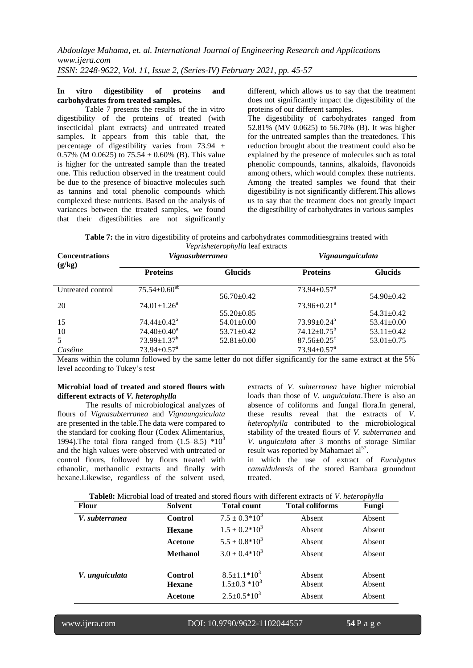#### **In vitro digestibility of proteins and carbohydrates from treated samples.**

Table 7 presents the results of the in vitro digestibility of the proteins of treated (with insecticidal plant extracts) and untreated treated samples. It appears from this table that, the percentage of digestibility varies from 73.94  $\pm$ 0.57% (M 0.0625) to 75.54  $\pm$  0.60% (B). This value is higher for the untreated sample than the treated one. This reduction observed in the treatment could be due to the presence of bioactive molecules such as tannins and total phenolic compounds which complexed these nutrients. Based on the analysis of variances between the treated samples, we found that their digestibilities are not significantly different, which allows us to say that the treatment does not significantly impact the digestibility of the proteins of our different samples.

The digestibility of carbohydrates ranged from 52.81% (MV 0.0625) to 56.70% (B). It was higher for the untreated samples than the treatedones. This reduction brought about the treatment could also be explained by the presence of molecules such as total phenolic compounds, tannins, alkaloids, flavonoids among others, which would complex these nutrients. Among the treated samples we found that their digestibility is not significantly different.This allows us to say that the treatment does not greatly impact the digestibility of carbohydrates in various samples

| Table 7: the in vitro digestibility of proteins and carbohydrates commodities grains treated with |                                         |  |  |
|---------------------------------------------------------------------------------------------------|-----------------------------------------|--|--|
|                                                                                                   | <i>Veprisheterophylla</i> leaf extracts |  |  |

| <b>Concentrations</b> | <i>Vignasubterranea</i>        |                  | Vignaunguiculata              |                  |  |
|-----------------------|--------------------------------|------------------|-------------------------------|------------------|--|
| (g/kg)                | <b>Proteins</b>                | <b>Glucids</b>   | <b>Proteins</b>               | <b>Glucids</b>   |  |
| Untreated control     | $75.54 \pm 0.60$ <sup>ab</sup> | $56.70 \pm 0.42$ | $73.94 \pm 0.57$ <sup>a</sup> | $54.90 \pm 0.42$ |  |
| 20                    | $74.01 \pm 1.26^a$             |                  | $73.96 \pm 0.21^{\text{a}}$   |                  |  |
|                       |                                | $55.20 \pm 0.85$ |                               | $54.31 \pm 0.42$ |  |
| 15                    | $74.44 \pm 0.42^{\text{a}}$    | $54.01 \pm 0.00$ | $73.99 \pm 0.24$ <sup>a</sup> | $53.41 \pm 0.00$ |  |
| 10                    | $74.40 \pm 0.40^{\circ}$       | $53.71 \pm 0.42$ | $74.12 \pm 0.75^{\circ}$      | $53.11 \pm 0.42$ |  |
|                       | $73.99 \pm 1.37^b$             | $52.81 \pm 0.00$ | $87.56 \pm 0.25$ <sup>c</sup> | $53.01 \pm 0.75$ |  |
| Caséine               | $73.94 \pm 0.57$ <sup>a</sup>  |                  | $73.94 \pm 0.57$ <sup>a</sup> |                  |  |

Means within the column followed by the same letter do not differ significantly for the same extract at the 5% level according to Tukey's test

## **Microbial load of treated and stored flours with different extracts of** *V. heterophylla*

The results of microbiological analyzes of flours of *Vignasubterranea* and *Vignaunguiculata* are presented in the table.The data were compared to the standard for cooking flour (Codex Alimentarius, 1994).The total flora ranged from  $(1.5-8.5)$  \*10<sup>3</sup> and the high values were observed with untreated or control flours, followed by flours treated with ethanolic, methanolic extracts and finally with hexane.Likewise, regardless of the solvent used, extracts of *V. subterranea* have higher microbial loads than those of *V. unguiculata*.There is also an absence of coliforms and fungal flora.In general, these results reveal that the extracts of *V. heterophylla* contributed to the microbiological stability of the treated flours of *V. subterranea* and *V. unguiculata* after 3 months of storage Similar result was reported by Mahamaet al<sup>57</sup>.

in which the use of extract of *Eucalyptus camaldulensis* of the stored Bambara groundnut treated.

| <b>Table8:</b> Microbial load of treated and stored flours with different extracts of <i>V. heterophylla</i> |  |  |  |
|--------------------------------------------------------------------------------------------------------------|--|--|--|
|                                                                                                              |  |  |  |

| <b>Flour</b>   | <b>Solvent</b> | <b>Total count</b>        | <b>Total coliforms</b> | Fungi  |
|----------------|----------------|---------------------------|------------------------|--------|
| V. subterranea | Control        | $7.5 \pm 0.3*10^3$        | Absent                 | Absent |
|                | <b>Hexane</b>  | $1.5 \pm 0.2*10^3$        | Absent                 | Absent |
|                | Acetone        | $5.5 \pm 0.8*10^3$        | Absent                 | Absent |
|                | Methanol       | $3.0 \pm 0.4*10^3$        | Absent                 | Absent |
|                |                |                           |                        |        |
| V. unguiculata | <b>Control</b> | $8.5 \pm 1.1 \times 10^3$ | Absent                 | Absent |
|                | <b>Hexane</b>  | $1.5 \pm 0.3 * 10^3$      | Absent                 | Absent |
|                | Acetone        | $2.5 \pm 0.5 \times 10^3$ | Absent                 | Absent |

www.ijera.com DOI: 10.9790/9622-1102044557 **54**|P a g e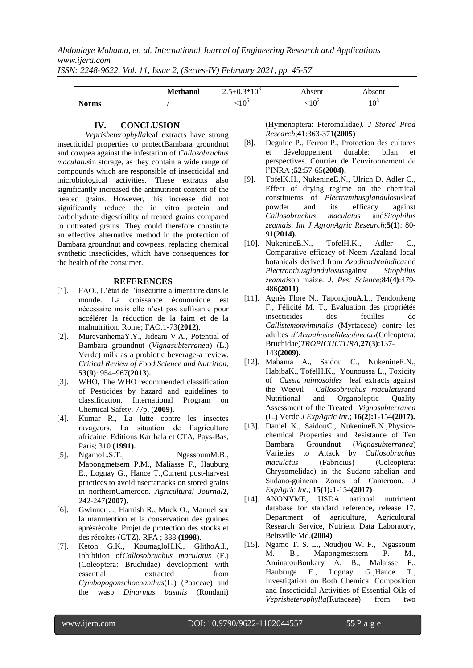*Abdoulaye Mahama, et. al. International Journal of Engineering Research and Applications www.ijera.com*

|              | <b>Methanol</b> | $2.5 \pm 0.3 \times 10^3$ | Absent          | Absent |
|--------------|-----------------|---------------------------|-----------------|--------|
| <b>Norms</b> |                 |                           | 10 <sup>2</sup> | 1 U    |

*ISSN: 2248-9622, Vol. 11, Issue 2, (Series-IV) February 2021, pp. 45-57*

# **IV. CONCLUSION**

*Veprisheterophylla*leaf extracts have strong insecticidal properties to protectBambara groundnut and cowpea against the infestation of *Callosobruchus maculatus*in storage, as they contain a wide range of compounds which are responsible of insecticidal and microbiological activities. These extracts also significantly increased the antinutrient content of the treated grains. However, this increase did not significantly reduce the in vitro protein and carbohydrate digestibility of treated grains compared to untreated grains. They could therefore constitute an effective alternative method in the protection of Bambara groundnut and cowpeas, replacing chemical synthetic insecticides, which have consequences for the health of the consumer.

## **REFERENCES**

- [1]. FAO., L'état de l'insécurité alimentaire dans le monde. La croissance économique est nécessaire mais elle n'est pas suffisante pour accélérer la réduction de la faim et de la malnutrition. Rome; FAO.1-73**(2012)**.
- [2]. MurevanhemaY.Y., Jideani V.A., Potential of Bambara groundnut (*Vignasubterranea*) (L.) Verdc) milk as a probiotic beverage-a review. *Critical Review of Food Science and Nutrition*, **53(9)**: 954–967**(2013).**
- [3]. WHO**,** The WHO recommended classification of Pesticides by hazard and guidelines to classification. International Program on Chemical Safety. 77p, (**2009)**.
- [4]. Kumar R., La lutte contre les insectes ravageurs. La situation de l'agriculture africaine. Editions Karthala et CTA, Pays-Bas, Paris; 310 **(1991).**
- [5]. NgamoL.S.T., NgassoumM.B., Mapongmetsem P.M., Maliasse F., Hauburg E., Lognay G., Hance T.,Current post-harvest practices to avoidinsectattacks on stored grains in northernCameroon. *Agricultural Journal***2**, 242-247**(2007).**
- [6]. Gwinner J., Harnish R., Muck O., Manuel sur la manutention et la conservation des graines aprèsrécolte. Projet de protection des stocks et des récoltes (GTZ). RFA ; 388 **(1998**).
- [7]. Ketoh G.K., KoumagloH.K., GlithoA.I., Inhibition of*Callosobruchus maculatus* (F.) (Coleoptera: Bruchidae) development with essential extracted from *Cymbopogonschoenanthus*(L.) (Poaceae) and the wasp *Dinarmus basalis* (Rondani)

(Hymenoptera: Pteromalidae*). J Stored Prod Research*;**41**:363-371**(2005)**

- [8]. Deguine P., Ferron P., Protection des cultures et développement durable: bilan et perspectives. Courrier de l'environnement de l'INRA ;**52**:57-65**(2004).**
- [9]. TofelK.H., NukenineE.N., Ulrich D. Adler C., Effect of drying regime on the chemical constituents of *Plectranthusglandulosus*leaf powder and its efficacy against *Callosobruchus maculatus* and*Sitophilus zeamais*. *Int J AgronAgric Research*;**5(1)**: 80- 91**(2014).**
- [10]. NukenineE.N., TofelH.K., Adler C., Comparative efficacy of Neem Azaland local botanicals derived from *Azadirachtaindica*and *Plectranthusglandulosus*against *Sitophilus zeamais*on maize. *J. Pest Science*;**84(4)**:479- 486**(2011)**
- [11]. Agnès Flore N., TapondjouA.L., Tendonkeng F., Félicité M. T., Evaluation des propriétés insecticides des feuilles de *Callistemonviminalis* (Myrtaceae) contre les adultes *d'Acanthoscelidesobtectus*(Coleoptera; Bruchidae)*TROPICULTURA,***27(3)**:137- 143**(2009).**
- [12]. Mahama A**.**, Saidou C., NukenineE.N., HabibaK., TofelH.K., Younoussa L., Toxicity of *Cassia mimosoides* leaf extracts against the Weevil *Callosobruchus maculatus*and Nutritional and Organoleptic Quality Assessment of the Treated *Vignasubterranea* (L.) Verdc.*J ExpAgric Int*.; **16(2):**1-154**(2017).**
- [13]. Daniel K., SaidouC., NukenineE.N.,Physicochemical Properties and Resistance of Ten Bambara Groundnut (*Vignasubterranea*) Varieties to Attack by *Callosobruchus maculatus* (Fabricius) (Coleoptera: Chrysomelidae) in the Sudano-sahelian and Sudano-guinean Zones of Cameroon. *J ExpAgric Int*.; **15(1):**1-154**(2017)**
- [14]. ANONYME, USDA national nutriment database for standard reference, release 17. Department of agriculture, Agricultural Research Service, Nutrient Data Laboratory, Beltsville Md.**(2004)**
- [15]. Ngamo T. S. L., Noudjou W. F., Ngassoum M. B., Mapongmestsem P. M., AminatouBoukary A. B., Malaisse F., Haubruge E., Lognay G.,Hance T., Investigation on Both Chemical Composition and Insecticidal Activities of Essential Oils of *Veprisheterophylla*(Rutaceae) from two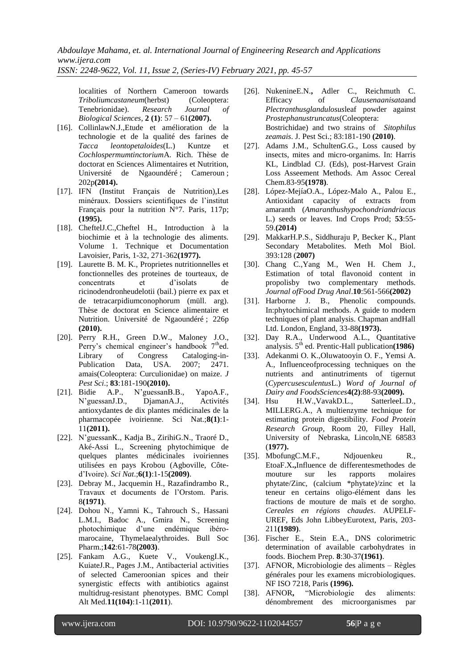localities of Northern Cameroon towards *Triboliumcastaneum*(herbst) (Coleoptera: Tenebrionidae). *Research Journal of Biological Sciences*, **2 (1)**: 57 – 61**(2007).**

- [16]. CollinlawN.J.,Etude et amélioration de la technologie et de la qualité des farines de *Tacca leontopetaloides*(L.) Kuntze et *Cochlospermumtinctorium*A. Rich. Thèse de doctorat en Sciences Alimentaires et Nutrition, Université de Ngaoundéré ; Cameroun ; 202p**(2014).**
- [17]. IFN (Institut Français de Nutrition),Les minéraux. Dossiers scientifiques de l'institut Français pour la nutrition N°7. Paris, 117p; **(1995).**
- [18]. CheftelJ.C.,Cheftel H., Introduction à la biochimie et à la technologie des aliments. Volume 1. Technique et Documentation Lavoisier, Paris, 1-32, 271-362**(1977).**
- [19]. Laurette B. M. K., Proprietes nutritionnelles et fonctionnelles des proteines de tourteaux, de concentrats et d'isolats de ricinodendronheudelotii (bail.) pierre ex pax et de tetracarpidiumconophorum (müll. arg). Thèse de doctorat en Science alimentaire et Nutrition. Université de Ngaoundéré ; 226p **(2010).**
- [20]. Perry R.H., Green D.W., Maloney J.O., Perry's chemical engineer's handbook  $7<sup>th</sup>$ ed. Library of Congress Cataloging-in-Publication Data, USA. 2007; 2471. amais(Coleoptera: Curculionidae) on maize. *J Pest Sci*.; **83**:181-190**(2010).**
- [21]. Bidie A.P., N'guessanB.B., YapoA.F., N'guessanJ.D., DjamanA.J., Activités antioxydantes de dix plantes médicinales de la pharmacopée ivoirienne. Sci Nat.;**8(1)**:1- 11**(2011).**
- [22]. N'guessanK., Kadja B., ZirihiG.N., Traoré D., Aké-Assi L., Screening phytochimique de quelques plantes médicinales ivoiriennes utilisées en pays Krobou (Agboville, Côted'Ivoire). *Sci Nat*.;**6(1)**:1-15**(2009)**.
- [23]. Debray M., Jacquemin H., Razafindrambo R., Travaux et documents de l'Orstom. Paris. 8**(1971)**.
- [24]. Dohou N., Yamni K., Tahrouch S., Hassani L.M.I., Badoc A., Gmira N., Screening photochimique d'une endémique ibéromarocaine, Thymelaealythroides. Bull Soc Pharm.;**142**:61-78**(2003)**.
- [25]. Fankam A.G., Kuete V., VoukengI.K., KuiateJ.R., Pages J.M., Antibacterial activities of selected Cameroonian spices and their synergistic effects with antibiotics against multidrug-resistant phenotypes. BMC Compl Alt Med.**11(104)**:1-11**(2011**).
- [26]. NukenineE.N.**,** Adler C., Reichmuth C. Efficacy of *Clausenaanisata*and *Plectranthusglandulosus*leaf powder against *Prostephanustruncatus*(Coleoptera: Bostrichidae) and two strains of *Sitophilus zeamais*. J. Pest Sci.; 83:181-190 **(2010)**.
- [27]. Adams J.M., SchultenG.G., Loss caused by insects, mites and micro-organims. In: Harris KL, Lindblad CJ. (Eds), post-Harvest Grain Loss Asseement Methods. Am Assoc Cereal Chem.83-95**(1978)**.
- [28]. López-MejíaO.A., López-Malo A., Palou E., Antioxidant capacity of extracts from amaranth (*Amaranthushypochondriandriacus* L.) seeds or leaves. Ind Crops Prod; **53**:55- 59.**(2014)**
- [29]. MakkarH.P.S., Siddhuraju P, Becker K., Plant Secondary Metabolites. Meth Mol Biol. 393:128 (**2007)**
- [30]. Chang C.,Yang M., Wen H. Chem J., Estimation of total flavonoid content in propolisby two complementary methods. *Journal ofFood Drug Anal*.**10**:561-566**(2002)**
- [31]. Harborne J. B., Phenolic compounds. In:phytochimical methods. A guide to modern techniques of plant analysis. Chapman andHall Ltd. London, England, 33-88**(1973).**
- [32]. Day R.A., Underwood A.L., Quantitative analysis. 5th ed. Prentic-Hall publication**(1986)**
- [33]. Adekanmi O. K.,Oluwatooyin O. F., Yemsi A. A., Influenceofprocessing techniques on the nutrients and antinutriments of tigernut (*Cypercusesculentus*L.) *Word of Journal of Dairy and FoodsSciences***4(2)**:88-93**(2009).**
- [34]. Hsu H.W.,VavakD.L., SatterleeL.D., MILLERG.A., A multienzyme technique for estimating protein digestibility. *Food Protein Research Group*, Room 20, Filley Hall, University of Nebraska, Lincoln,NE 68583 (**1977).**
- [35]. MbofungC.M.F., Ndjouenkeu R., EtoaF.X**.,**Influence de differentesmethodes de mouture sur les rapports molaires phytate/Zinc, (calcium \*phytate)/zinc et la teneur en certains oligo-élément dans les fractions de mouture de maïs et de sorgho. *Cereales en régions chaudes*. AUPELF-UREF, Eds John LibbeyEurotext, Paris, 203- 211**(1989)**.
- [36]. Fischer E., Stein E.A., DNS colorimetric determination of available carbohydrates in foods. Biochem Prep. **8**:30-37**(1961)**.
- [37]. AFNOR, Microbiologie des aliments Règles générales pour les examens microbiologiques. NF ISO 7218, Paris **(1996).**
- [38]. AFNOR**,** "Microbiologie des aliments: dénombrement des microorganismes par